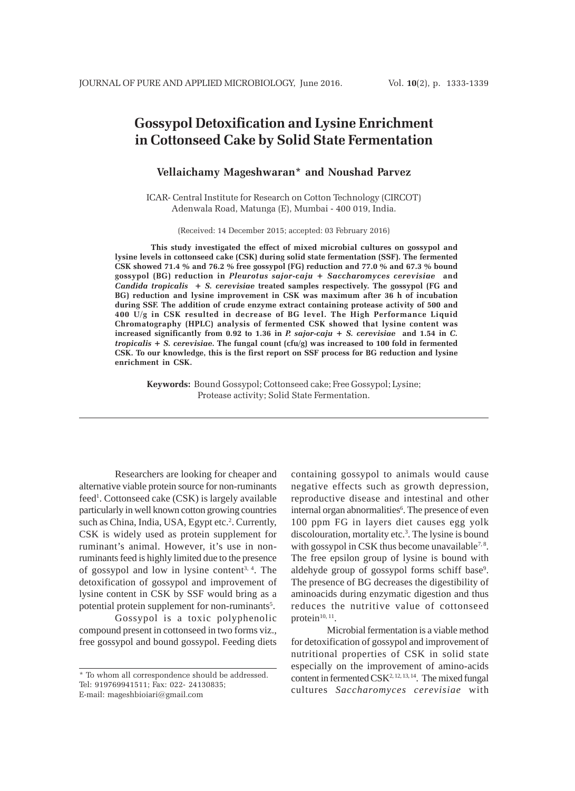# **Gossypol Detoxification and Lysine Enrichment in Cottonseed Cake by Solid State Fermentation**

# **Vellaichamy Mageshwaran\* and Noushad Parvez**

ICAR- Central Institute for Research on Cotton Technology (CIRCOT) Adenwala Road, Matunga (E), Mumbai - 400 019, India.

(Received: 14 December 2015; accepted: 03 February 2016)

**This study investigated the effect of mixed microbial cultures on gossypol and lysine levels in cottonseed cake (CSK) during solid state fermentation (SSF). The fermented CSK showed 71.4 % and 76.2 % free gossypol (FG) reduction and 77.0 % and 67.3 % bound gossypol (BG) reduction in** *Pleurotus sajor-caju* **+** *Saccharomyces cerevisiae* **and** *Candida tropicalis* **+** *S. cerevisiae* **treated samples respectively. The gossypol (FG and BG) reduction and lysine improvement in CSK was maximum after 36 h of incubation during SSF. The addition of crude enzyme extract containing protease activity of 500 and 400 U/g in CSK resulted in decrease of BG level. The High Performance Liquid Chromatography (HPLC) analysis of fermented CSK showed that lysine content was increased significantly from 0.92 to 1.36 in** *P. sajor-caju* **+** *S. cerevisiae* **and 1.54 in** *C. tropicalis* **+** *S. cerevisiae***. The fungal count (cfu/g) was increased to 100 fold in fermented CSK. To our knowledge, this is the first report on SSF process for BG reduction and lysine enrichment in CSK.**

**Keywords:** Bound Gossypol; Cottonseed cake; Free Gossypol; Lysine; Protease activity; Solid State Fermentation.

Researchers are looking for cheaper and alternative viable protein source for non-ruminants feed<sup>1</sup>. Cottonseed cake (CSK) is largely available particularly in well known cotton growing countries such as China, India, USA, Egypt etc.<sup>2</sup>. Currently, CSK is widely used as protein supplement for ruminant's animal. However, it's use in nonruminants feed is highly limited due to the presence of gossypol and low in lysine content<sup>3, 4</sup>. The detoxification of gossypol and improvement of lysine content in CSK by SSF would bring as a potential protein supplement for non-ruminants<sup>5</sup>.

Gossypol is a toxic polyphenolic compound present in cottonseed in two forms viz., free gossypol and bound gossypol. Feeding diets containing gossypol to animals would cause negative effects such as growth depression, reproductive disease and intestinal and other internal organ abnormalities<sup>6</sup>. The presence of even 100 ppm FG in layers diet causes egg yolk discolouration, mortality etc.<sup>3</sup>. The lysine is bound with gossypol in CSK thus become unavailable<sup>7,8</sup>. The free epsilon group of lysine is bound with aldehyde group of gossypol forms schiff base<sup>9</sup>. The presence of BG decreases the digestibility of aminoacids during enzymatic digestion and thus reduces the nutritive value of cottonseed protein $10, 11$ .

Microbial fermentation is a viable method for detoxification of gossypol and improvement of nutritional properties of CSK in solid state especially on the improvement of amino-acids content in fermented  $CSK<sup>2, 12, 13, 14</sup>$ . The mixed fungal cultures *Saccharomyces cerevisiae* with

<sup>\*</sup> To whom all correspondence should be addressed. Tel: 919769941511; Fax: 022- 24130835; E-mail: mageshbioiari@gmail.com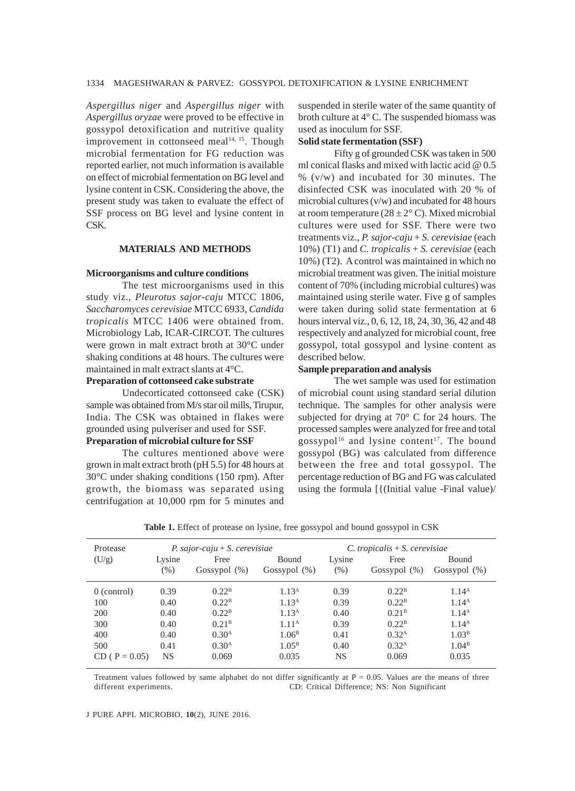*Aspergillus niger* and *Aspergillus niger* with *Aspergillus oryzae* were proved to be effective in gossypol detoxification and nutritive quality improvement in cottonseed meal $14, 15$ . Though microbial fermentation for FG reduction was reported earlier, not much information is available on effect of microbial fermentation on BG level and lysine content in CSK. Considering the above, the present study was taken to evaluate the effect of SSF process on BG level and lysine content in CSK.

# **MATERIALS AND METHODS**

#### **Microorganisms and culture conditions**

The test microorganisms used in this study viz., *Pleurotus sajor-caju* MTCC 1806, *Saccharomyces cerevisiae* MTCC 6933, *Candida tropicalis* MTCC 1406 were obtained from. Microbiology Lab, ICAR-CIRCOT. The cultures were grown in malt extract broth at 30°C under shaking conditions at 48 hours. The cultures were maintained in malt extract slants at 4°C.

## **Preparation of cottonseed cake substrate**

Undecorticated cottonseed cake (CSK) sample was obtained from M/s star oil mills, Tirupur, India. The CSK was obtained in flakes were grounded using pulveriser and used for SSF. **Preparation of microbial culture for SSF**

# The cultures mentioned above were grown in malt extract broth (pH 5.5) for 48 hours at 30°C under shaking conditions (150 rpm). After growth, the biomass was separated using centrifugation at 10,000 rpm for 5 minutes and

suspended in sterile water of the same quantity of broth culture at 4° C. The suspended biomass was used as inoculum for SSF.

#### **Solid state fermentation (SSF)**

Fifty g of grounded CSK was taken in 500 ml conical flasks and mixed with lactic acid @ 0.5  $\%$  (v/w) and incubated for 30 minutes. The disinfected CSK was inoculated with 20 % of microbial cultures (v/w) and incubated for 48 hours at room temperature ( $28 \pm 2^{\circ}$  C). Mixed microbial cultures were used for SSF. There were two treatments viz., *P. sajor-caju* + *S. cerevisiae* (each 10%) (T1) and *C. tropicalis* + *S. cerevisiae* (each 10%) (T2). A control was maintained in which no microbial treatment was given. The initial moisture content of 70% (including microbial cultures) was maintained using sterile water. Five g of samples were taken during solid state fermentation at 6 hours interval viz., 0, 6, 12, 18, 24, 30, 36, 42 and 48 respectively and analyzed for microbial count, free gossypol, total gossypol and lysine content as described below.

#### **Sample preparation and analysis**

The wet sample was used for estimation of microbial count using standard serial dilution technique. The samples for other analysis were subjected for drying at 70° C for 24 hours. The processed samples were analyzed for free and total gossypol<sup>16</sup> and lysine content<sup>17</sup>. The bound gossypol (BG) was calculated from difference between the free and total gossypol. The percentage reduction of BG and FG was calculated using the formula [{(Initial value -Final value)/

| Protease        | P. sajor-caju $+ S$ . cerevisiae |                   |                   |           | $C.$ tropicalis $+ S.$ cerevisiae |                   |  |
|-----------------|----------------------------------|-------------------|-------------------|-----------|-----------------------------------|-------------------|--|
| (U/g)           | Lysine                           | Free              | Bound             | Lysine    | Free                              | <b>Bound</b>      |  |
|                 | $(\% )$                          | Gossypol $(\%)$   | Gossypol $(\%)$   | (% )      | Gossypol $(\%)$                   | Gossypol $(\%)$   |  |
| $0$ (control)   | 0.39                             | 0.22 <sup>B</sup> | 1.13 <sup>A</sup> | 0.39      | 0.22 <sup>B</sup>                 | 1.14 <sup>A</sup> |  |
| 100             | 0.40                             | 0.22 <sup>B</sup> | 1.13 <sup>A</sup> | 0.39      | 0.22 <sup>B</sup>                 | 1.14 <sup>A</sup> |  |
| 200             | 0.40                             | 0.22 <sup>B</sup> | 1.13 <sup>A</sup> | 0.40      | 0.21 <sup>B</sup>                 | 1.14 <sup>A</sup> |  |
| 300             | 0.40                             | 0.21 <sup>B</sup> | 1.11 <sup>A</sup> | 0.39      | 0.22 <sup>B</sup>                 | 1.14 <sup>A</sup> |  |
| 400             | 0.40                             | 0.30 <sup>A</sup> | 1.06 <sup>B</sup> | 0.41      | 0.32 <sup>A</sup>                 | 1.03 <sup>B</sup> |  |
| 500             | 0.41                             | 0.30 <sup>A</sup> | 1.05 <sup>B</sup> | 0.40      | 0.32 <sup>A</sup>                 | 1.04 <sup>B</sup> |  |
| $CD (P = 0.05)$ | NS                               | 0.069             | 0.035             | <b>NS</b> | 0.069                             | 0.035             |  |

Table 1. Effect of protease on lysine, free gossypol and bound gossypol in CSK

Treatment values followed by same alphabet do not differ significantly at  $P = 0.05$ . Values are the means of three different experiments. CD: Critical Difference; NS: Non Significant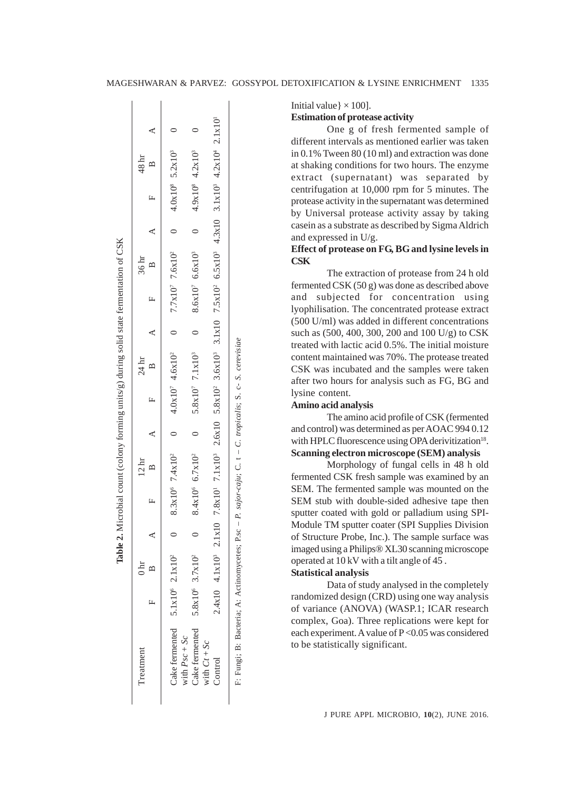| Treatment                                                                                                |   | 0 <sub>hr</sub>                         |  | 12 <sub>hr</sub> |  | $24 \text{ hr}$ |  | 36 <sub>hr</sub> |  | 48 <sup>hr</sup>                                                                                                                 |           |
|----------------------------------------------------------------------------------------------------------|---|-----------------------------------------|--|------------------|--|-----------------|--|------------------|--|----------------------------------------------------------------------------------------------------------------------------------|-----------|
|                                                                                                          | L |                                         |  |                  |  |                 |  |                  |  | A F B A A A A B A A B A A                                                                                                        |           |
| Cake fermented                                                                                           |   | $5.1x10^6$ $2.1x10^2$                   |  |                  |  |                 |  |                  |  | 8.3x10° 7.4x10° 7.4x10° 4.0x10° 4.6x10° 7.7x10° 7.6x10° 5.2x10° 5.2x10°                                                          |           |
| Cake fermented<br>with $PSC + Sc$                                                                        |   | 5.8x10 <sup>6</sup> 3.7x10 <sup>2</sup> |  |                  |  |                 |  |                  |  | $8.4 \times 10^{5}$ 6.7x10° 6.6x10° 6.6x10° 6.6x10° 6.6x10° 6.6x10° 6.6x10° 6.6x10° 6.6x10° 6.6x10° 6.6x10° 6.6x10° 6.6x10° 7.12 | $\subset$ |
| with $Ct + Sc$<br>Control                                                                                |   | $2.4x10$ $4.1x103$                      |  |                  |  |                 |  |                  |  | 2.1x10 7.8x10' 7.1x10' 2.6x10 5.8x10' 3.6x10' 3.1x10 7.5x10' 6.5x10' 4.3x10 3.1x10' 4.2x10' 2.1x10'                              |           |
| F. Fungi; B: Bacteria; A: Actinomycetes; P.sc - P. sajor-caju; C. t - C. tropicalis; S. c. S. cerevisiae |   |                                         |  |                  |  |                 |  |                  |  |                                                                                                                                  |           |

lable 2. Microbial count (colony forming units/g) during solid state fermentation of CSK

Initial value  $\vert \times 100 \vert$ .

**Estimation of protease activity**

One g of fresh fermented sample of different intervals as mentioned earlier was taken in 0.1% Tween 80 (10 ml) and extraction was done at shaking conditions for two hours. The enzyme extract (supernatant) was separated by centrifugation at 10,000 rpm for 5 minutes. The protease activity in the supernatant was determined by Universal protease activity assay by taking casein as a substrate as described by Sigma Aldrich and expressed in U/g.

# **Effect of protease on FG, BG and lysine levels in CSK**

The extraction of protease from 24 h old fermented CSK (50 g) was done as described above and subjected for concentration using lyophilisation. The concentrated protease extract (500 U/ml) was added in different concentrations such as (500, 400, 300, 200 and 100 U/g) to CSK treated with lactic acid 0.5%. The initial moisture content maintained was 70%. The protease treated CSK was incubated and the samples were taken after two hours for analysis such as FG, BG and lysine content.

## **Amino acid analysis**

The amino acid profile of CSK (fermented and control) was determined as per AOAC 994 0.12 with HPLC fluorescence using OPA derivitization<sup>18</sup>. **Scanning electron microscope (SEM) analysis**

Morphology of fungal cells in 48 h old fermented CSK fresh sample was examined by an SEM. The fermented sample was mounted on the SEM stub with double-sided adhesive tape then sputter coated with gold or palladium using SPI-Module TM sputter coater (SPI Supplies Division of Structure Probe, Inc.). The sample surface was imaged using a Philips® XL30 scanning microscope operated at 10 kV with a tilt angle of 45 .

# **Statistical analysis**

Data of study analysed in the completely randomized design (CRD) using one way analysis of variance (ANOVA) (WASP.1; ICAR research complex, Goa). Three replications were kept for each experiment. A value of P < 0.05 was considered to be statistically significant.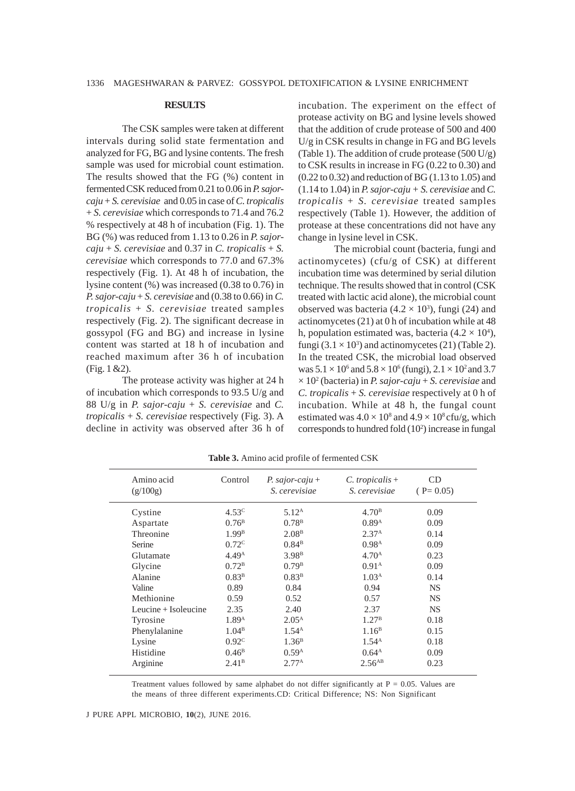#### **RESULTS**

The CSK samples were taken at different intervals during solid state fermentation and analyzed for FG, BG and lysine contents. The fresh sample was used for microbial count estimation. The results showed that the FG (%) content in fermented CSK reduced from 0.21 to 0.06 in *P. sajorcaju* + *S. cerevisiae* and 0.05 in case of *C. tropicalis* + *S. cerevisiae* which corresponds to 71.4 and 76.2 % respectively at 48 h of incubation (Fig. 1). The BG (%) was reduced from 1.13 to 0.26 in *P. sajor* $caju + S$ . *cerevisiae* and 0.37 in *C. tropicalis* + *S. cerevisiae* which corresponds to 77.0 and 67.3% respectively (Fig. 1). At 48 h of incubation, the lysine content (%) was increased (0.38 to 0.76) in *P. sajor-caju* + *S. cerevisiae* and (0.38 to 0.66) in *C. tropicalis* + *S. cerevisiae* treated samples respectively (Fig. 2). The significant decrease in gossypol (FG and BG) and increase in lysine content was started at 18 h of incubation and reached maximum after 36 h of incubation (Fig. 1 &2).

The protease activity was higher at 24 h of incubation which corresponds to 93.5 U/g and 88 U/g in *P. sajor-caju* + *S. cerevisiae* and *C. tropicalis* + *S. cerevisiae* respectively (Fig. 3). A decline in activity was observed after 36 h of incubation. The experiment on the effect of protease activity on BG and lysine levels showed that the addition of crude protease of 500 and 400 U/g in CSK results in change in FG and BG levels (Table 1). The addition of crude protease  $(500 U/g)$ to CSK results in increase in FG (0.22 to 0.30) and (0.22 to 0.32) and reduction of BG (1.13 to 1.05) and  $(1.14 \text{ to } 1.04)$  in *P. sajor-caju + S. cerevisiae* and *C. tropicalis* + *S. cerevisiae* treated samples respectively (Table 1). However, the addition of protease at these concentrations did not have any change in lysine level in CSK.

The microbial count (bacteria, fungi and actinomycetes) (cfu/g of CSK) at different incubation time was determined by serial dilution technique. The results showed that in control (CSK treated with lactic acid alone), the microbial count observed was bacteria ( $4.2 \times 10^3$ ), fungi (24) and actinomycetes (21) at 0 h of incubation while at 48 h, population estimated was, bacteria  $(4.2 \times 10^4)$ , fungi  $(3.1 \times 10^3)$  and actinomycetes  $(21)$  (Table 2). In the treated CSK, the microbial load observed was  $5.1 \times 10^6$  and  $5.8 \times 10^6$  (fungi),  $2.1 \times 10^2$  and 3.7 × 102 (bacteria) in *P. sajor-caju* + *S. cerevisiae* and *C. tropicalis* + *S. cerevisiae* respectively at 0 h of incubation. While at 48 h, the fungal count estimated was  $4.0 \times 10^8$  and  $4.9 \times 10^8$  cfu/g, which corresponds to hundred fold (10<sup>2</sup>) increase in fungal

| Amino acid<br>(g/100g) | Control           | P. sajor-caju +<br><i>S. cerevisiae</i> | $C.$ tropicalis +<br>S. cerevisiae | CD<br>$(P=0.05)$ |
|------------------------|-------------------|-----------------------------------------|------------------------------------|------------------|
| Cystine                | 4.53 <sup>c</sup> | 5.12 <sup>A</sup>                       | 4.70 <sup>B</sup>                  | 0.09             |
| Aspartate              | $0.76^{\rm B}$    | $0.78^{\rm B}$                          | 0.89 <sup>A</sup>                  | 0.09             |
| Threonine              | 1.99 <sup>B</sup> | 2.08 <sup>B</sup>                       | 2.37 <sup>A</sup>                  | 0.14             |
| Serine                 | 0.72 <sup>c</sup> | $0.84^{\rm B}$                          | 0.98 <sup>A</sup>                  | 0.09             |
| Glutamate              | 4.49 <sup>A</sup> | 3.98 <sup>B</sup>                       | 4.70 <sup>A</sup>                  | 0.23             |
| Glycine                | 0.72 <sup>B</sup> | 0.79 <sup>B</sup>                       | 0.91 <sup>A</sup>                  | 0.09             |
| Alanine                | 0.83 <sup>B</sup> | 0.83 <sup>B</sup>                       | 1.03 <sup>A</sup>                  | 0.14             |
| Valine                 | 0.89              | 0.84                                    | 0.94                               | NS.              |
| Methionine             | 0.59              | 0.52                                    | 0.57                               | <b>NS</b>        |
| Leucine $+$ Isoleucine | 2.35              | 2.40                                    | 2.37                               | <b>NS</b>        |
| Tyrosine               | 1.89 <sup>A</sup> | $2.05^{\rm A}$                          | 1.27 <sup>B</sup>                  | 0.18             |
| Phenylalanine          | 1.04 <sup>B</sup> | 1.54 <sup>A</sup>                       | 1.16 <sup>B</sup>                  | 0.15             |
| Lysine                 | 0.92 <sup>c</sup> | $1.36^{\rm B}$                          | $1.54^{A}$                         | 0.18             |
| Histidine              | $0.46^{\rm B}$    | 0.59 <sup>A</sup>                       | $0.64^{\rm A}$                     | 0.09             |
| Arginine               | 2.41 <sup>B</sup> | 2.77 <sup>A</sup>                       | $2.56$ <sup>AB</sup>               | 0.23             |

**Table 3.** Amino acid profile of fermented CSK

Treatment values followed by same alphabet do not differ significantly at  $P = 0.05$ . Values are the means of three different experiments.CD: Critical Difference; NS: Non Significant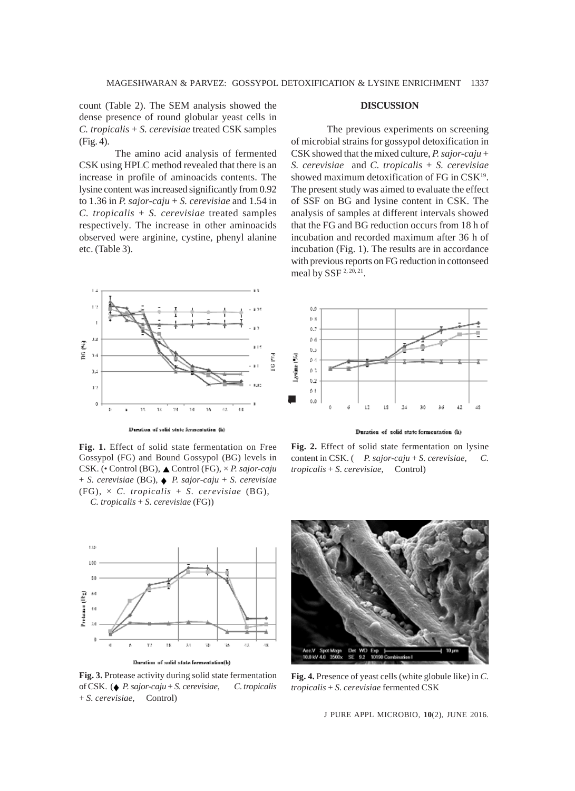count (Table 2). The SEM analysis showed the dense presence of round globular yeast cells in *C. tropicalis* + *S. cerevisiae* treated CSK samples (Fig. 4).

The amino acid analysis of fermented CSK using HPLC method revealed that there is an increase in profile of aminoacids contents. The lysine content was increased significantly from 0.92 to 1.36 in *P. sajor-caju* + *S. cerevisiae* and 1.54 in *C. tropicalis* + *S. cerevisiae* treated samples respectively*.* The increase in other aminoacids observed were arginine, cystine, phenyl alanine etc. (Table 3).

#### **DISCUSSION**

The previous experiments on screening of microbial strains for gossypol detoxification in CSK showed that the mixed culture, *P. sajor-caju* + *S. cerevisiae* and *C. tropicalis* + *S. cerevisiae* showed maximum detoxification of FG in CSK<sup>19</sup>. The present study was aimed to evaluate the effect of SSF on BG and lysine content in CSK. The analysis of samples at different intervals showed that the FG and BG reduction occurs from 18 h of incubation and recorded maximum after 36 h of incubation (Fig. 1). The results are in accordance with previous reports on FG reduction in cottonseed meal by SSF<sup>2, 20, 21</sup>.



Deration of solid state fermentation (h)

**Fig. 1.** Effect of solid state fermentation on Free Gossypol (FG) and Bound Gossypol (BG) levels in CSK. (• Control (BG), ▲ Control (FG), × *P. sajor-caju* + *S. cerevisiae* (BG), ♦ *P. sajor-caju* + *S. cerevisiae* (FG), × *C. tropicalis* + *S. cerevisiae* (BG), *C. tropicalis* + *S. cerevisiae* (FG))



**Fig. 3.** Protease activity during solid state fermentation of CSK. (♦ *P. sajor-caju* + *S. cerevisiae*, *C. tropicalis* + *S. cerevisiae*, Control)



Duration of solid state fermentation (h)





**Fig. 4.** Presence of yeast cells (white globule like) in *C. tropicalis* + *S. cerevisiae* fermented CSK

J PURE APPL MICROBIO*,* **10**(2), JUNE 2016.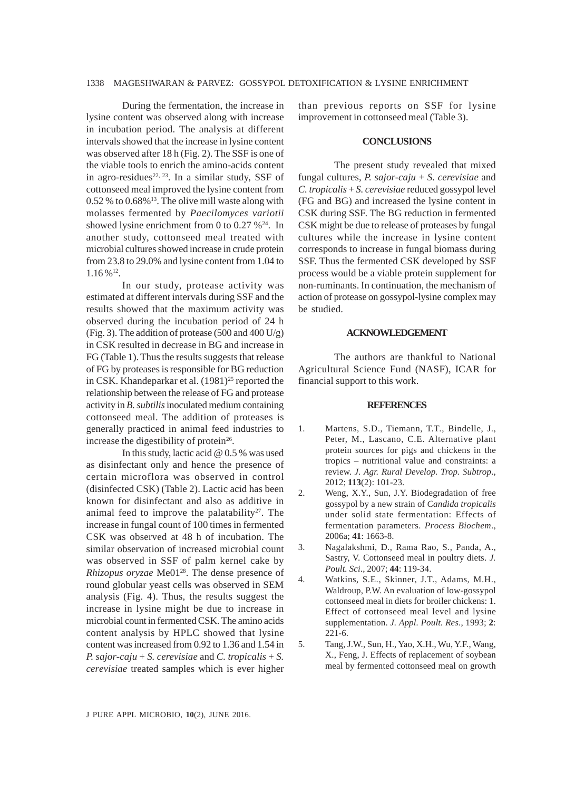## 1338 MAGESHWARAN & PARVEZ: GOSSYPOL DETOXIFICATION & LYSINE ENRICHMENT

During the fermentation, the increase in lysine content was observed along with increase in incubation period. The analysis at different intervals showed that the increase in lysine content was observed after 18 h (Fig. 2). The SSF is one of the viable tools to enrich the amino-acids content in agro-residues<sup>22, 23</sup>. In a similar study, SSF of cottonseed meal improved the lysine content from  $0.52$  % to  $0.68\%$ <sup>13</sup>. The olive mill waste along with molasses fermented by *Paecilomyces variotii* showed lysine enrichment from 0 to 0.27  $\%^{24}$ . In another study, cottonseed meal treated with microbial cultures showed increase in crude protein from 23.8 to 29.0% and lysine content from 1.04 to  $1.16 \%$ <sup>12</sup>.

In our study, protease activity was estimated at different intervals during SSF and the results showed that the maximum activity was observed during the incubation period of 24 h (Fig. 3). The addition of protease (500 and 400 U/g) in CSK resulted in decrease in BG and increase in FG (Table 1). Thus the results suggests that release of FG by proteases is responsible for BG reduction in CSK. Khandeparkar et al.  $(1981)^{25}$  reported the relationship between the release of FG and protease activity in *B. subtilis* inoculated medium containing cottonseed meal. The addition of proteases is generally practiced in animal feed industries to increase the digestibility of protein $26$ .

In this study, lactic acid @ 0.5 % was used as disinfectant only and hence the presence of certain microflora was observed in control (disinfected CSK) (Table 2). Lactic acid has been known for disinfectant and also as additive in animal feed to improve the palatability<sup>27</sup>. The increase in fungal count of 100 times in fermented CSK was observed at 48 h of incubation. The similar observation of increased microbial count was observed in SSF of palm kernel cake by *Rhizopus oryzae* Me0128. The dense presence of round globular yeast cells was observed in SEM analysis (Fig. 4). Thus, the results suggest the increase in lysine might be due to increase in microbial count in fermented CSK. The amino acids content analysis by HPLC showed that lysine content was increased from 0.92 to 1.36 and 1.54 in *P. sajor-caju* + *S. cerevisiae* and *C. tropicalis* + *S. cerevisiae* treated samples which is ever higher

than previous reports on SSF for lysine improvement in cottonseed meal (Table 3).

#### **CONCLUSIONS**

The present study revealed that mixed fungal cultures, *P. sajor-caju* + *S. cerevisiae* and *C. tropicalis* + *S. cerevisiae* reduced gossypol level (FG and BG) and increased the lysine content in CSK during SSF. The BG reduction in fermented CSK might be due to release of proteases by fungal cultures while the increase in lysine content corresponds to increase in fungal biomass during SSF. Thus the fermented CSK developed by SSF process would be a viable protein supplement for non-ruminants. In continuation, the mechanism of action of protease on gossypol-lysine complex may be studied.

#### **ACKNOWLEDGEMENT**

The authors are thankful to National Agricultural Science Fund (NASF), ICAR for financial support to this work.

#### **REFERENCES**

- 1. Martens, S.D., Tiemann, T.T., Bindelle, J., Peter, M., Lascano, C.E. Alternative plant protein sources for pigs and chickens in the tropics – nutritional value and constraints: a review. *J. Agr. Rural Develop. Trop. Subtrop*., 2012; **113**(2): 101-23.
- 2. Weng, X.Y., Sun, J.Y. Biodegradation of free gossypol by a new strain of *Candida tropicalis* under solid state fermentation: Effects of fermentation parameters. *Process Biochem*., 2006a; **41**: 1663-8.
- 3. Nagalakshmi, D., Rama Rao, S., Panda, A., Sastry, V. Cottonseed meal in poultry diets. *J. Poult. Sci*., 2007; **44**: 119-34.
- 4. Watkins, S.E., Skinner, J.T., Adams, M.H., Waldroup, P.W. An evaluation of low-gossypol cottonseed meal in diets for broiler chickens: 1. Effect of cottonseed meal level and lysine supplementation. *J. Appl. Poult. Res*., 1993; **2**: 221-6.
- 5. Tang, J.W., Sun, H., Yao, X.H., Wu, Y.F., Wang, X., Feng, J. Effects of replacement of soybean meal by fermented cottonseed meal on growth